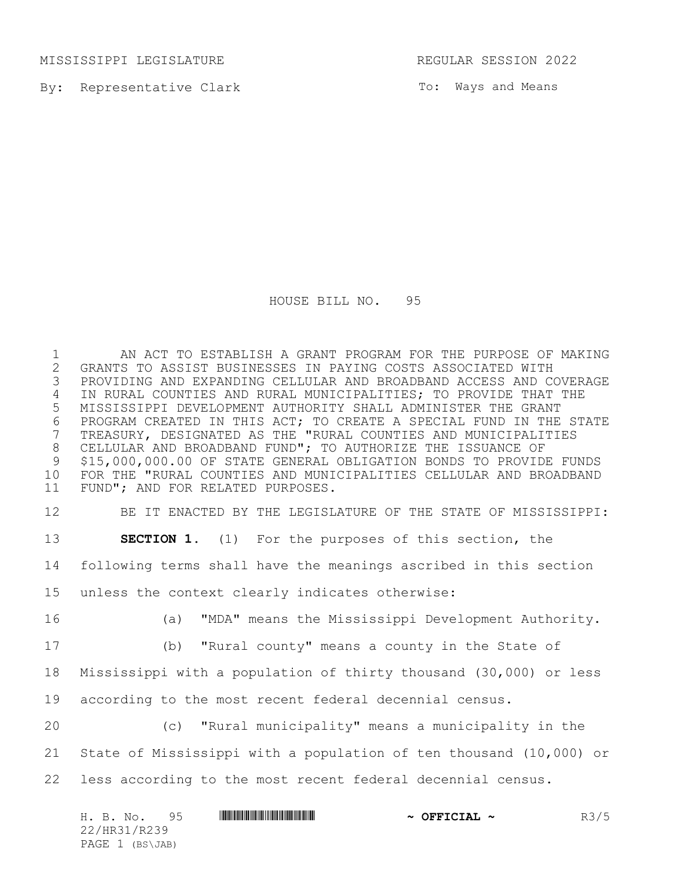MISSISSIPPI LEGISLATURE **REGULAR SESSION 2022** 

By: Representative Clark

To: Ways and Means

HOUSE BILL NO. 95

1 AN ACT TO ESTABLISH A GRANT PROGRAM FOR THE PURPOSE OF MAKING<br>2 GRANTS TO ASSIST BUSINESSES IN PAYING COSTS ASSOCIATED WITH GRANTS TO ASSIST BUSINESSES IN PAYING COSTS ASSOCIATED WITH PROVIDING AND EXPANDING CELLULAR AND BROADBAND ACCESS AND COVERAGE IN RURAL COUNTIES AND RURAL MUNICIPALITIES; TO PROVIDE THAT THE MISSISSIPPI DEVELOPMENT AUTHORITY SHALL ADMINISTER THE GRANT 6 PROGRAM CREATED IN THIS ACT; TO CREATE A SPECIAL FUND IN THE STATE<br>7 TREASURY, DESIGNATED AS THE "RURAL COUNTIES AND MUNICIPALITIES TREASURY, DESIGNATED AS THE "RURAL COUNTIES AND MUNICIPALITIES CELLULAR AND BROADBAND FUND"; TO AUTHORIZE THE ISSUANCE OF \$15,000,000.00 OF STATE GENERAL OBLIGATION BONDS TO PROVIDE FUNDS FOR THE "RURAL COUNTIES AND MUNICIPALITIES CELLULAR AND BROADBAND FUND"; AND FOR RELATED PURPOSES.

 BE IT ENACTED BY THE LEGISLATURE OF THE STATE OF MISSISSIPPI: **SECTION 1.** (1) For the purposes of this section, the following terms shall have the meanings ascribed in this section unless the context clearly indicates otherwise: (a) "MDA" means the Mississippi Development Authority.

 (b) "Rural county" means a county in the State of Mississippi with a population of thirty thousand (30,000) or less according to the most recent federal decennial census.

 (c) "Rural municipality" means a municipality in the State of Mississippi with a population of ten thousand (10,000) or less according to the most recent federal decennial census.

| H. B. No.       | <u> I I DO DI LO DI LO DI IN CI I I DO DI LO DI LO DI LO DI LO DI LO DI LO DI LO DI LO DI LO DI LO DI LO DI LO DI</u><br>95 | $\sim$ OFFICIAL $\sim$ | R3/5 |
|-----------------|-----------------------------------------------------------------------------------------------------------------------------|------------------------|------|
| 22/HR31/R239    |                                                                                                                             |                        |      |
| PAGE 1 (BS\JAB) |                                                                                                                             |                        |      |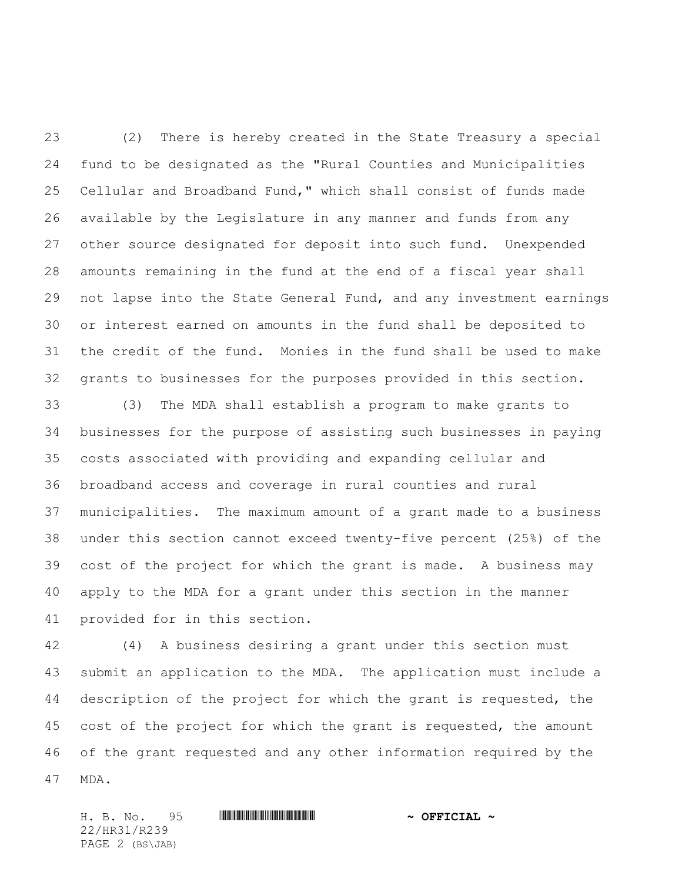(2) There is hereby created in the State Treasury a special fund to be designated as the "Rural Counties and Municipalities Cellular and Broadband Fund," which shall consist of funds made available by the Legislature in any manner and funds from any other source designated for deposit into such fund. Unexpended amounts remaining in the fund at the end of a fiscal year shall not lapse into the State General Fund, and any investment earnings or interest earned on amounts in the fund shall be deposited to the credit of the fund. Monies in the fund shall be used to make grants to businesses for the purposes provided in this section.

 (3) The MDA shall establish a program to make grants to businesses for the purpose of assisting such businesses in paying costs associated with providing and expanding cellular and broadband access and coverage in rural counties and rural municipalities. The maximum amount of a grant made to a business under this section cannot exceed twenty-five percent (25%) of the cost of the project for which the grant is made. A business may apply to the MDA for a grant under this section in the manner provided for in this section.

 (4) A business desiring a grant under this section must submit an application to the MDA. The application must include a description of the project for which the grant is requested, the cost of the project for which the grant is requested, the amount of the grant requested and any other information required by the MDA.

H. B. No. 95 \*HR31/R239\* **~ OFFICIAL ~** 22/HR31/R239 PAGE 2 (BS\JAB)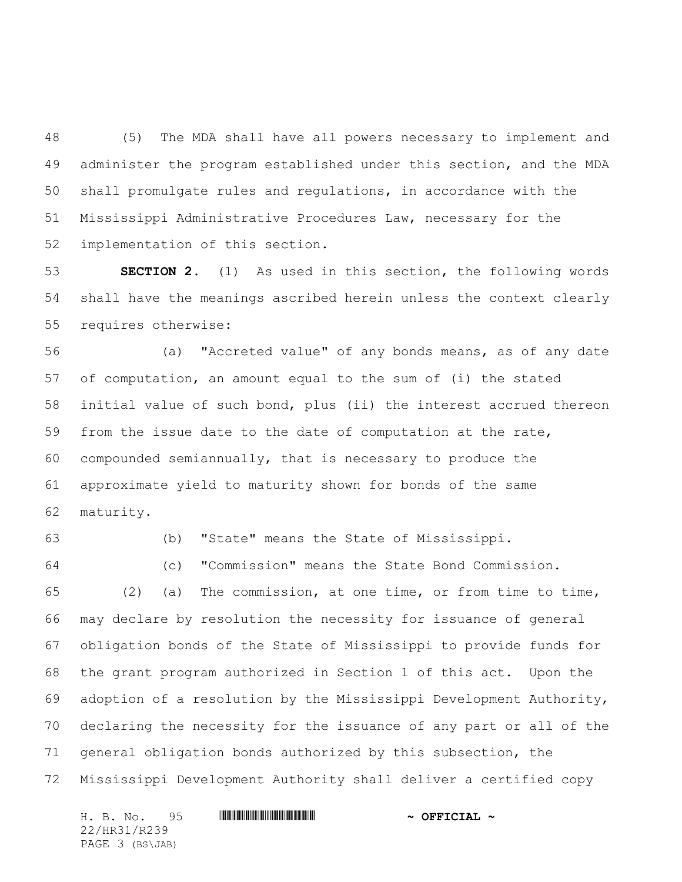(5) The MDA shall have all powers necessary to implement and administer the program established under this section, and the MDA shall promulgate rules and regulations, in accordance with the Mississippi Administrative Procedures Law, necessary for the implementation of this section.

 **SECTION 2.** (1) As used in this section, the following words shall have the meanings ascribed herein unless the context clearly requires otherwise:

 (a) "Accreted value" of any bonds means, as of any date of computation, an amount equal to the sum of (i) the stated initial value of such bond, plus (ii) the interest accrued thereon from the issue date to the date of computation at the rate, compounded semiannually, that is necessary to produce the approximate yield to maturity shown for bonds of the same maturity.

(b) "State" means the State of Mississippi.

(c) "Commission" means the State Bond Commission.

 (2) (a) The commission, at one time, or from time to time, may declare by resolution the necessity for issuance of general obligation bonds of the State of Mississippi to provide funds for the grant program authorized in Section 1 of this act. Upon the adoption of a resolution by the Mississippi Development Authority, declaring the necessity for the issuance of any part or all of the general obligation bonds authorized by this subsection, the Mississippi Development Authority shall deliver a certified copy

H. B. No. 95 \*HR31/R239\* **~ OFFICIAL ~** 22/HR31/R239 PAGE 3 (BS\JAB)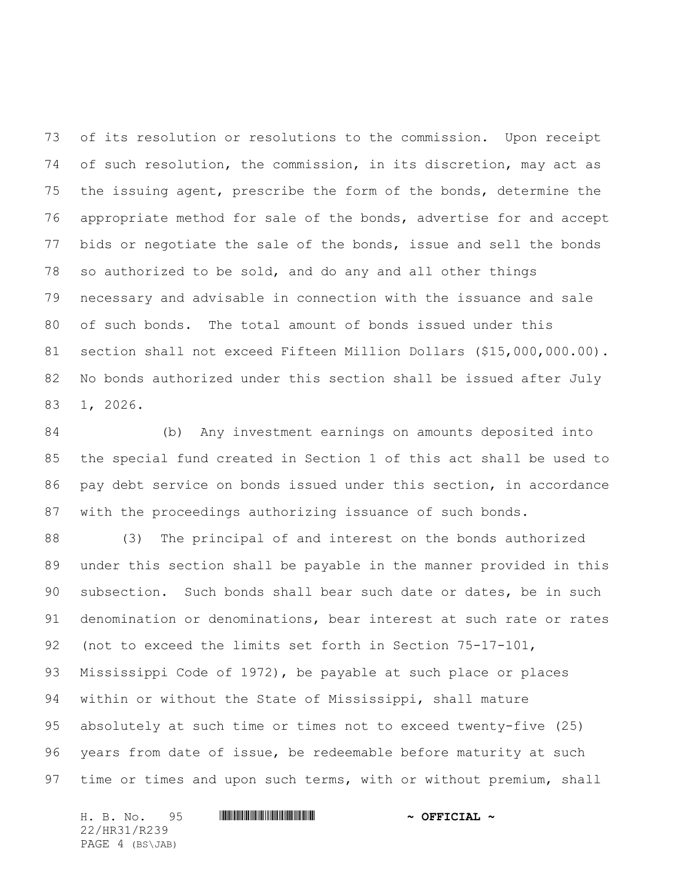of its resolution or resolutions to the commission. Upon receipt of such resolution, the commission, in its discretion, may act as the issuing agent, prescribe the form of the bonds, determine the appropriate method for sale of the bonds, advertise for and accept bids or negotiate the sale of the bonds, issue and sell the bonds so authorized to be sold, and do any and all other things necessary and advisable in connection with the issuance and sale of such bonds. The total amount of bonds issued under this section shall not exceed Fifteen Million Dollars (\$15,000,000.00). No bonds authorized under this section shall be issued after July 1, 2026.

 (b) Any investment earnings on amounts deposited into the special fund created in Section 1 of this act shall be used to pay debt service on bonds issued under this section, in accordance with the proceedings authorizing issuance of such bonds.

 (3) The principal of and interest on the bonds authorized under this section shall be payable in the manner provided in this subsection. Such bonds shall bear such date or dates, be in such denomination or denominations, bear interest at such rate or rates (not to exceed the limits set forth in Section 75-17-101, Mississippi Code of 1972), be payable at such place or places within or without the State of Mississippi, shall mature absolutely at such time or times not to exceed twenty-five (25) years from date of issue, be redeemable before maturity at such 97 time or times and upon such terms, with or without premium, shall

H. B. No. 95 \*HR31/R239\* **~ OFFICIAL ~** 22/HR31/R239 PAGE 4 (BS\JAB)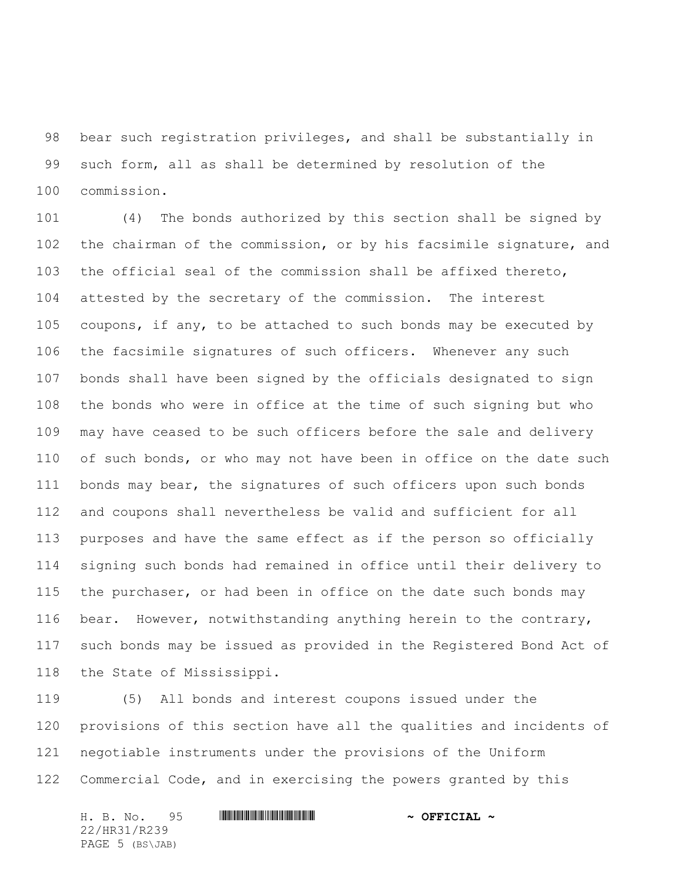bear such registration privileges, and shall be substantially in such form, all as shall be determined by resolution of the commission.

 (4) The bonds authorized by this section shall be signed by the chairman of the commission, or by his facsimile signature, and the official seal of the commission shall be affixed thereto, attested by the secretary of the commission. The interest coupons, if any, to be attached to such bonds may be executed by the facsimile signatures of such officers. Whenever any such bonds shall have been signed by the officials designated to sign the bonds who were in office at the time of such signing but who may have ceased to be such officers before the sale and delivery of such bonds, or who may not have been in office on the date such bonds may bear, the signatures of such officers upon such bonds and coupons shall nevertheless be valid and sufficient for all purposes and have the same effect as if the person so officially signing such bonds had remained in office until their delivery to the purchaser, or had been in office on the date such bonds may bear. However, notwithstanding anything herein to the contrary, such bonds may be issued as provided in the Registered Bond Act of the State of Mississippi.

 (5) All bonds and interest coupons issued under the provisions of this section have all the qualities and incidents of negotiable instruments under the provisions of the Uniform Commercial Code, and in exercising the powers granted by this

H. B. No. 95 \*HR31/R239\* **~ OFFICIAL ~** 22/HR31/R239 PAGE 5 (BS\JAB)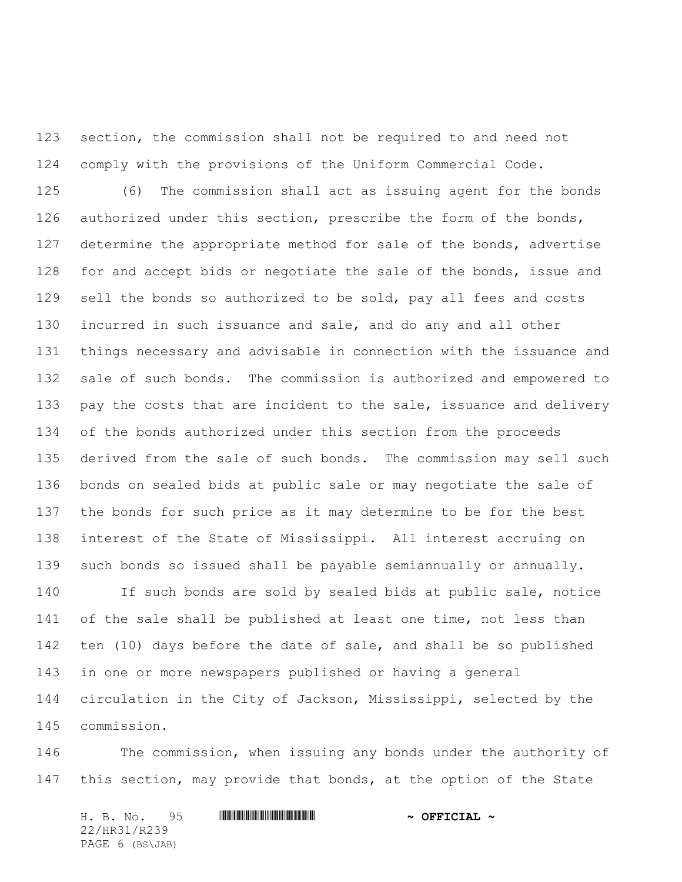section, the commission shall not be required to and need not comply with the provisions of the Uniform Commercial Code.

 (6) The commission shall act as issuing agent for the bonds authorized under this section, prescribe the form of the bonds, determine the appropriate method for sale of the bonds, advertise 128 for and accept bids or negotiate the sale of the bonds, issue and sell the bonds so authorized to be sold, pay all fees and costs incurred in such issuance and sale, and do any and all other things necessary and advisable in connection with the issuance and sale of such bonds. The commission is authorized and empowered to 133 pay the costs that are incident to the sale, issuance and delivery of the bonds authorized under this section from the proceeds derived from the sale of such bonds. The commission may sell such bonds on sealed bids at public sale or may negotiate the sale of the bonds for such price as it may determine to be for the best interest of the State of Mississippi. All interest accruing on such bonds so issued shall be payable semiannually or annually.

 If such bonds are sold by sealed bids at public sale, notice 141 of the sale shall be published at least one time, not less than ten (10) days before the date of sale, and shall be so published in one or more newspapers published or having a general circulation in the City of Jackson, Mississippi, selected by the commission.

 The commission, when issuing any bonds under the authority of 147 this section, may provide that bonds, at the option of the State

H. B. No. 95 \*HR31/R239\* **~ OFFICIAL ~** 22/HR31/R239 PAGE 6 (BS\JAB)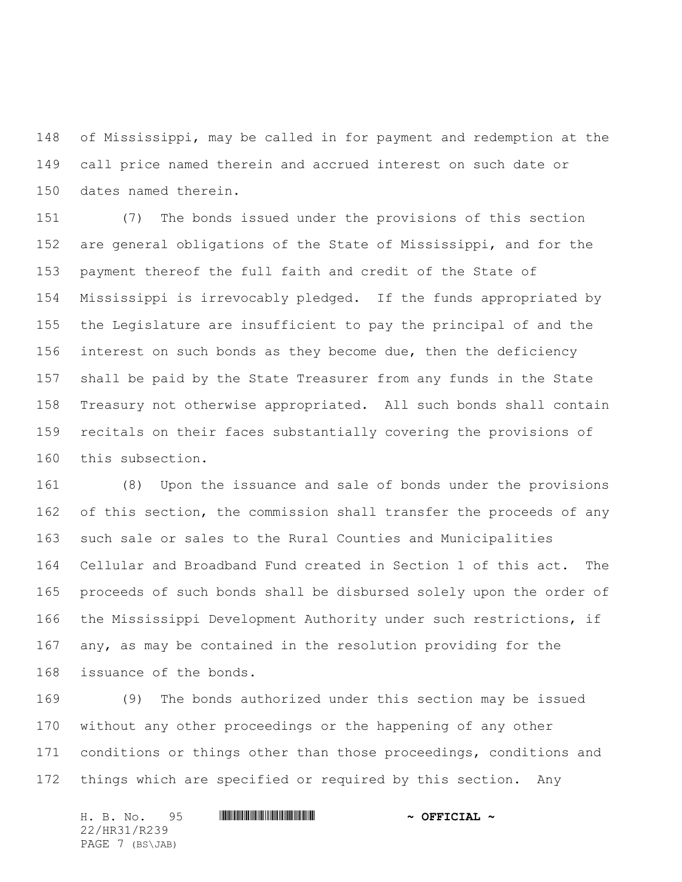of Mississippi, may be called in for payment and redemption at the call price named therein and accrued interest on such date or dates named therein.

 (7) The bonds issued under the provisions of this section are general obligations of the State of Mississippi, and for the payment thereof the full faith and credit of the State of Mississippi is irrevocably pledged. If the funds appropriated by the Legislature are insufficient to pay the principal of and the 156 interest on such bonds as they become due, then the deficiency shall be paid by the State Treasurer from any funds in the State Treasury not otherwise appropriated. All such bonds shall contain recitals on their faces substantially covering the provisions of this subsection.

 (8) Upon the issuance and sale of bonds under the provisions of this section, the commission shall transfer the proceeds of any such sale or sales to the Rural Counties and Municipalities Cellular and Broadband Fund created in Section 1 of this act. The proceeds of such bonds shall be disbursed solely upon the order of the Mississippi Development Authority under such restrictions, if any, as may be contained in the resolution providing for the issuance of the bonds.

 (9) The bonds authorized under this section may be issued without any other proceedings or the happening of any other 171 conditions or things other than those proceedings, conditions and things which are specified or required by this section. Any

H. B. No. 95 \*HR31/R239\* **~ OFFICIAL ~** 22/HR31/R239 PAGE 7 (BS\JAB)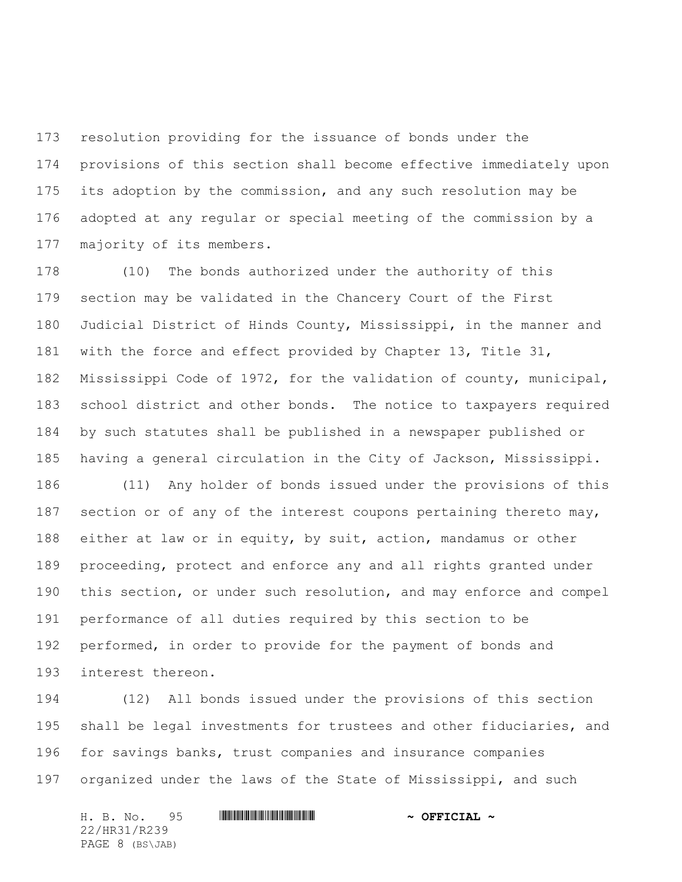resolution providing for the issuance of bonds under the provisions of this section shall become effective immediately upon its adoption by the commission, and any such resolution may be adopted at any regular or special meeting of the commission by a majority of its members.

 (10) The bonds authorized under the authority of this section may be validated in the Chancery Court of the First Judicial District of Hinds County, Mississippi, in the manner and with the force and effect provided by Chapter 13, Title 31, Mississippi Code of 1972, for the validation of county, municipal, school district and other bonds. The notice to taxpayers required by such statutes shall be published in a newspaper published or having a general circulation in the City of Jackson, Mississippi.

 (11) Any holder of bonds issued under the provisions of this 187 section or of any of the interest coupons pertaining thereto may, either at law or in equity, by suit, action, mandamus or other proceeding, protect and enforce any and all rights granted under this section, or under such resolution, and may enforce and compel performance of all duties required by this section to be performed, in order to provide for the payment of bonds and interest thereon.

 (12) All bonds issued under the provisions of this section shall be legal investments for trustees and other fiduciaries, and for savings banks, trust companies and insurance companies 197 organized under the laws of the State of Mississippi, and such

H. B. No. 95 \*HR31/R239\* **~ OFFICIAL ~** 22/HR31/R239 PAGE 8 (BS\JAB)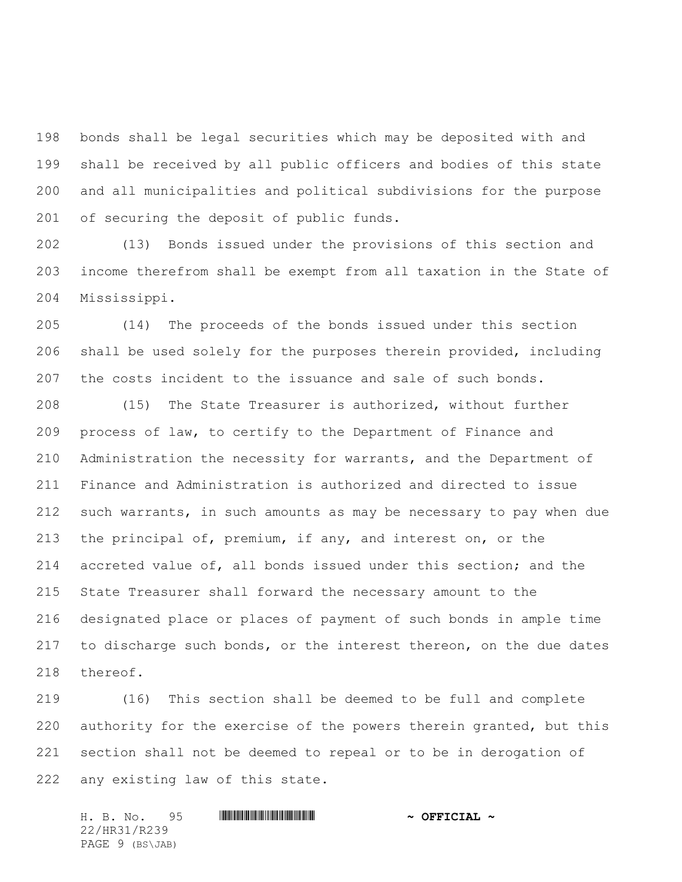bonds shall be legal securities which may be deposited with and shall be received by all public officers and bodies of this state and all municipalities and political subdivisions for the purpose of securing the deposit of public funds.

 (13) Bonds issued under the provisions of this section and income therefrom shall be exempt from all taxation in the State of Mississippi.

 (14) The proceeds of the bonds issued under this section shall be used solely for the purposes therein provided, including the costs incident to the issuance and sale of such bonds.

 (15) The State Treasurer is authorized, without further process of law, to certify to the Department of Finance and Administration the necessity for warrants, and the Department of Finance and Administration is authorized and directed to issue such warrants, in such amounts as may be necessary to pay when due the principal of, premium, if any, and interest on, or the accreted value of, all bonds issued under this section; and the State Treasurer shall forward the necessary amount to the designated place or places of payment of such bonds in ample time to discharge such bonds, or the interest thereon, on the due dates thereof.

 (16) This section shall be deemed to be full and complete authority for the exercise of the powers therein granted, but this section shall not be deemed to repeal or to be in derogation of any existing law of this state.

H. B. No. 95 \*HR31/R239\* **~ OFFICIAL ~** 22/HR31/R239 PAGE 9 (BS\JAB)